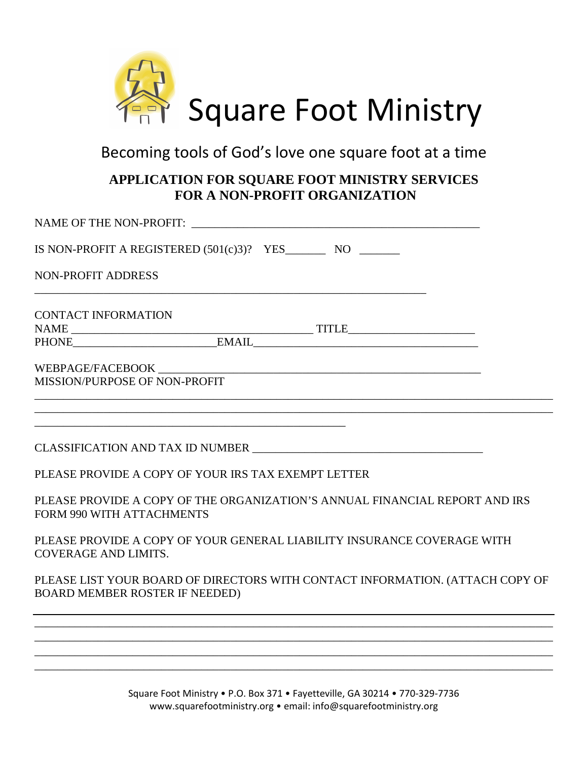

## Becoming tools of God's love one square foot at a time

## **APPLICATION FOR SQUARE FOOT MINISTRY SERVICES FOR A NON-PROFIT ORGANIZATION**

| IS NON-PROFIT A REGISTERED $(501(c)3)?$ YES NO                                                                         |
|------------------------------------------------------------------------------------------------------------------------|
| <b>NON-PROFIT ADDRESS</b>                                                                                              |
| <b>CONTACT INFORMATION</b>                                                                                             |
|                                                                                                                        |
| MISSION/PURPOSE OF NON-PROFIT                                                                                          |
|                                                                                                                        |
| PLEASE PROVIDE A COPY OF YOUR IRS TAX EXEMPT LETTER                                                                    |
| PLEASE PROVIDE A COPY OF THE ORGANIZATION'S ANNUAL FINANCIAL REPORT AND IRS<br>FORM 990 WITH ATTACHMENTS               |
| PLEASE PROVIDE A COPY OF YOUR GENERAL LIABILITY INSURANCE COVERAGE WITH<br><b>COVERAGE AND LIMITS.</b>                 |
| PLEASE LIST YOUR BOARD OF DIRECTORS WITH CONTACT INFORMATION. (ATTACH COPY OF<br><b>BOARD MEMBER ROSTER IF NEEDED)</b> |
|                                                                                                                        |
| ,我们也不能在这里的时候,我们也不能在这里的时候,我们也不能会在这里的时候,我们也不能会在这里的时候,我们也不能会在这里的时候,我们也不能会在这里的时候,我们也不                                      |
| <u> 1989 - Johann Stoff, disk foar it ferskearre fan it ferskearre fan it ferskearre fan it ferskearre fan it fers</u> |

Square Foot Ministry • P.O. Box 371 • Fayetteville, GA 30214 • 770-329-7736 www.squarefootministry.org • email: info@squarefootministry.org